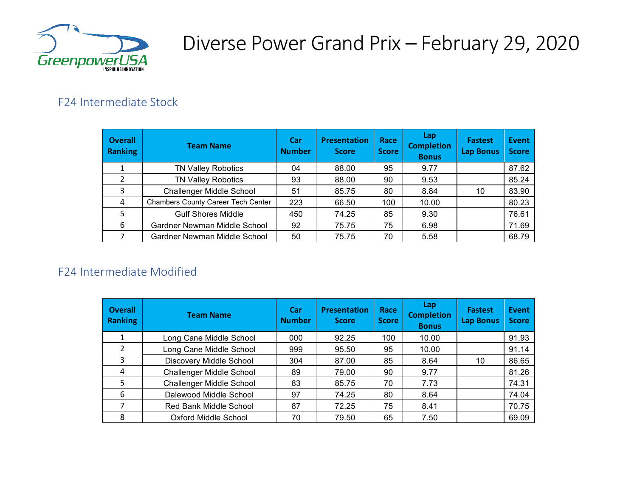

## Diverse Power Grand Prix – February 29, 2020

### F24 Intermediate Stock

| <b>Overall</b><br>Ranking | <b>Team Name</b>                   | <b>Car</b><br><b>Number</b> | <b>Presentation</b><br><b>Score</b> | Race<br><b>Score</b> | Lap<br><b>Completion</b><br><b>Bonus</b> | <b>Fastest</b><br><b>Lap Bonus</b> | <b>Event</b><br><b>Score</b> |
|---------------------------|------------------------------------|-----------------------------|-------------------------------------|----------------------|------------------------------------------|------------------------------------|------------------------------|
|                           | <b>TN Valley Robotics</b>          | 04                          | 88.00                               | 95                   | 9.77                                     |                                    | 87.62                        |
| $\mathfrak z$             | <b>TN Valley Robotics</b>          | 93                          | 88.00                               | 90                   | 9.53                                     |                                    | 85.24                        |
| 3                         | Challenger Middle School           | 51                          | 85.75                               | 80                   | 8.84                                     | 10                                 | 83.90                        |
| 4                         | Chambers County Career Tech Center | 223                         | 66.50                               | 100                  | 10.00                                    |                                    | 80.23                        |
| 5                         | <b>Gulf Shores Middle</b>          | 450                         | 74.25                               | 85                   | 9.30                                     |                                    | 76.61                        |
| 6                         | Gardner Newman Middle School       | 92                          | 75.75                               | 75                   | 6.98                                     |                                    | 71.69                        |
|                           | Gardner Newman Middle School       | 50                          | 75.75                               | 70                   | 5.58                                     |                                    | 68.79                        |

### F24 Intermediate Modified

| <b>Overall</b><br><b>Ranking</b> | <b>Team Name</b>                | <b>Car</b><br><b>Number</b> | <b>Presentation</b><br><b>Score</b> | Race<br><b>Score</b> | Lap<br><b>Completion</b><br><b>Bonus</b> | <b>Fastest</b><br><b>Lap Bonus</b> | Event<br><b>Score</b> |
|----------------------------------|---------------------------------|-----------------------------|-------------------------------------|----------------------|------------------------------------------|------------------------------------|-----------------------|
| 1                                | Long Cane Middle School         | 000                         | 92.25                               | 100                  | 10.00                                    |                                    | 91.93                 |
| 2                                | Long Cane Middle School         | 999                         | 95.50                               | 95                   | 10.00                                    |                                    | 91.14                 |
| 3                                | <b>Discovery Middle School</b>  | 304                         | 87.00                               | 85                   | 8.64                                     | 10                                 | 86.65                 |
| 4                                | Challenger Middle School        | 89                          | 79.00                               | 90                   | 9.77                                     |                                    | 81.26                 |
| 5                                | <b>Challenger Middle School</b> | 83                          | 85.75                               | 70                   | 7.73                                     |                                    | 74.31                 |
| 6                                | Dalewood Middle School          | 97                          | 74.25                               | 80                   | 8.64                                     |                                    | 74.04                 |
|                                  | <b>Red Bank Middle School</b>   | 87                          | 72.25                               | 75                   | 8.41                                     |                                    | 70.75                 |
| 8                                | Oxford Middle School            | 70                          | 79.50                               | 65                   | 7.50                                     |                                    | 69.09                 |